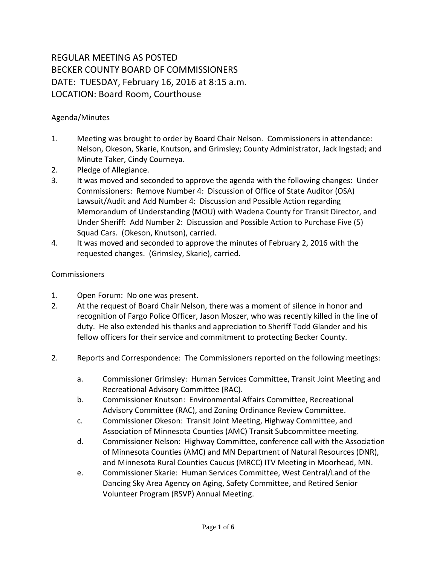## REGULAR MEETING AS POSTED BECKER COUNTY BOARD OF COMMISSIONERS DATE: TUESDAY, February 16, 2016 at 8:15 a.m. LOCATION: Board Room, Courthouse

## Agenda/Minutes

- 1. Meeting was brought to order by Board Chair Nelson. Commissioners in attendance: Nelson, Okeson, Skarie, Knutson, and Grimsley; County Administrator, Jack Ingstad; and Minute Taker, Cindy Courneya.
- 2. Pledge of Allegiance.
- 3. It was moved and seconded to approve the agenda with the following changes: Under Commissioners: Remove Number 4: Discussion of Office of State Auditor (OSA) Lawsuit/Audit and Add Number 4: Discussion and Possible Action regarding Memorandum of Understanding (MOU) with Wadena County for Transit Director, and Under Sheriff: Add Number 2: Discussion and Possible Action to Purchase Five (5) Squad Cars. (Okeson, Knutson), carried.
- 4. It was moved and seconded to approve the minutes of February 2, 2016 with the requested changes. (Grimsley, Skarie), carried.

## **Commissioners**

- 1. Open Forum: No one was present.
- 2. At the request of Board Chair Nelson, there was a moment of silence in honor and recognition of Fargo Police Officer, Jason Moszer, who was recently killed in the line of duty. He also extended his thanks and appreciation to Sheriff Todd Glander and his fellow officers for their service and commitment to protecting Becker County.
- 2. Reports and Correspondence: The Commissioners reported on the following meetings:
	- a. Commissioner Grimsley: Human Services Committee, Transit Joint Meeting and Recreational Advisory Committee (RAC).
	- b. Commissioner Knutson: Environmental Affairs Committee, Recreational Advisory Committee (RAC), and Zoning Ordinance Review Committee.
	- c. Commissioner Okeson: Transit Joint Meeting, Highway Committee, and Association of Minnesota Counties (AMC) Transit Subcommittee meeting.
	- d. Commissioner Nelson: Highway Committee, conference call with the Association of Minnesota Counties (AMC) and MN Department of Natural Resources (DNR), and Minnesota Rural Counties Caucus (MRCC) ITV Meeting in Moorhead, MN.
	- e. Commissioner Skarie: Human Services Committee, West Central/Land of the Dancing Sky Area Agency on Aging, Safety Committee, and Retired Senior Volunteer Program (RSVP) Annual Meeting.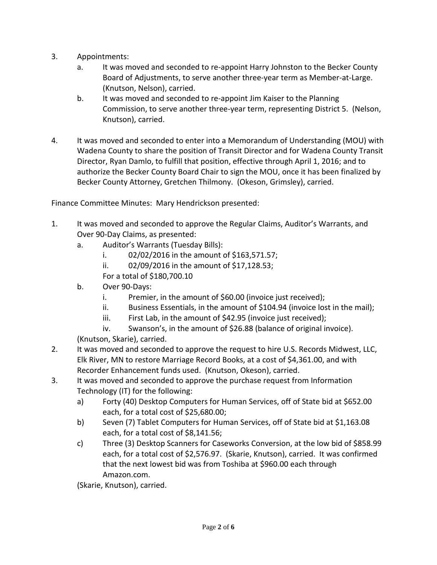- 3. Appointments:
	- a. It was moved and seconded to re-appoint Harry Johnston to the Becker County Board of Adjustments, to serve another three-year term as Member-at-Large. (Knutson, Nelson), carried.
	- b. It was moved and seconded to re-appoint Jim Kaiser to the Planning Commission, to serve another three-year term, representing District 5. (Nelson, Knutson), carried.
- 4. It was moved and seconded to enter into a Memorandum of Understanding (MOU) with Wadena County to share the position of Transit Director and for Wadena County Transit Director, Ryan Damlo, to fulfill that position, effective through April 1, 2016; and to authorize the Becker County Board Chair to sign the MOU, once it has been finalized by Becker County Attorney, Gretchen Thilmony. (Okeson, Grimsley), carried.

Finance Committee Minutes: Mary Hendrickson presented:

- 1. It was moved and seconded to approve the Regular Claims, Auditor's Warrants, and Over 90-Day Claims, as presented:
	- a. Auditor's Warrants (Tuesday Bills):
		- i. 02/02/2016 in the amount of \$163,571.57;
		- ii. 02/09/2016 in the amount of \$17,128.53;

For a total of \$180,700.10

- b. Over 90-Days:
	- i. Premier, in the amount of \$60.00 (invoice just received);
	- ii. Business Essentials, in the amount of \$104.94 (invoice lost in the mail);
	- iii. First Lab, in the amount of \$42.95 (invoice just received);
	- iv. Swanson's, in the amount of \$26.88 (balance of original invoice).

(Knutson, Skarie), carried.

- 2. It was moved and seconded to approve the request to hire U.S. Records Midwest, LLC, Elk River, MN to restore Marriage Record Books, at a cost of \$4,361.00, and with Recorder Enhancement funds used. (Knutson, Okeson), carried.
- 3. It was moved and seconded to approve the purchase request from Information Technology (IT) for the following:
	- a) Forty (40) Desktop Computers for Human Services, off of State bid at \$652.00 each, for a total cost of \$25,680.00;
	- b) Seven (7) Tablet Computers for Human Services, off of State bid at \$1,163.08 each, for a total cost of \$8,141.56;
	- c) Three (3) Desktop Scanners for Caseworks Conversion, at the low bid of \$858.99 each, for a total cost of \$2,576.97. (Skarie, Knutson), carried. It was confirmed that the next lowest bid was from Toshiba at \$960.00 each through Amazon.com.

(Skarie, Knutson), carried.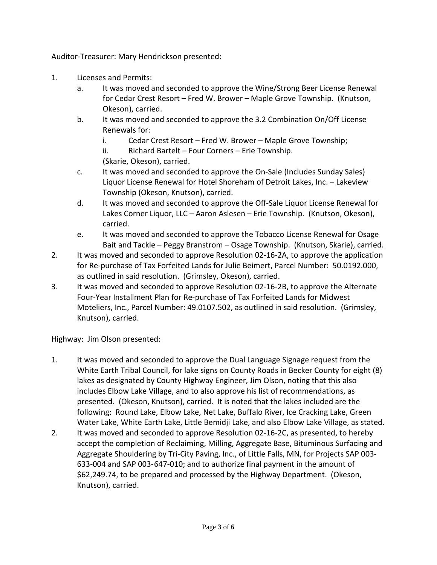Auditor-Treasurer: Mary Hendrickson presented:

- 1. Licenses and Permits:
	- a. It was moved and seconded to approve the Wine/Strong Beer License Renewal for Cedar Crest Resort – Fred W. Brower – Maple Grove Township. (Knutson, Okeson), carried.
	- b. It was moved and seconded to approve the 3.2 Combination On/Off License Renewals for:
		- i. Cedar Crest Resort Fred W. Brower Maple Grove Township;
		- ii. Richard Bartelt Four Corners Erie Township.

(Skarie, Okeson), carried.

- c. It was moved and seconded to approve the On-Sale (Includes Sunday Sales) Liquor License Renewal for Hotel Shoreham of Detroit Lakes, Inc. – Lakeview Township (Okeson, Knutson), carried.
- d. It was moved and seconded to approve the Off-Sale Liquor License Renewal for Lakes Corner Liquor, LLC – Aaron Aslesen – Erie Township. (Knutson, Okeson), carried.
- e. It was moved and seconded to approve the Tobacco License Renewal for Osage Bait and Tackle – Peggy Branstrom – Osage Township. (Knutson, Skarie), carried.
- 2. It was moved and seconded to approve Resolution 02-16-2A, to approve the application for Re-purchase of Tax Forfeited Lands for Julie Beimert, Parcel Number: 50.0192.000, as outlined in said resolution. (Grimsley, Okeson), carried.
- 3. It was moved and seconded to approve Resolution 02-16-2B, to approve the Alternate Four-Year Installment Plan for Re-purchase of Tax Forfeited Lands for Midwest Moteliers, Inc., Parcel Number: 49.0107.502, as outlined in said resolution. (Grimsley, Knutson), carried.

Highway: Jim Olson presented:

- 1. It was moved and seconded to approve the Dual Language Signage request from the White Earth Tribal Council, for lake signs on County Roads in Becker County for eight (8) lakes as designated by County Highway Engineer, Jim Olson, noting that this also includes Elbow Lake Village, and to also approve his list of recommendations, as presented. (Okeson, Knutson), carried. It is noted that the lakes included are the following: Round Lake, Elbow Lake, Net Lake, Buffalo River, Ice Cracking Lake, Green Water Lake, White Earth Lake, Little Bemidji Lake, and also Elbow Lake Village, as stated.
- 2. It was moved and seconded to approve Resolution 02-16-2C, as presented, to hereby accept the completion of Reclaiming, Milling, Aggregate Base, Bituminous Surfacing and Aggregate Shouldering by Tri-City Paving, Inc., of Little Falls, MN, for Projects SAP 003- 633-004 and SAP 003-647-010; and to authorize final payment in the amount of \$62,249.74, to be prepared and processed by the Highway Department. (Okeson, Knutson), carried.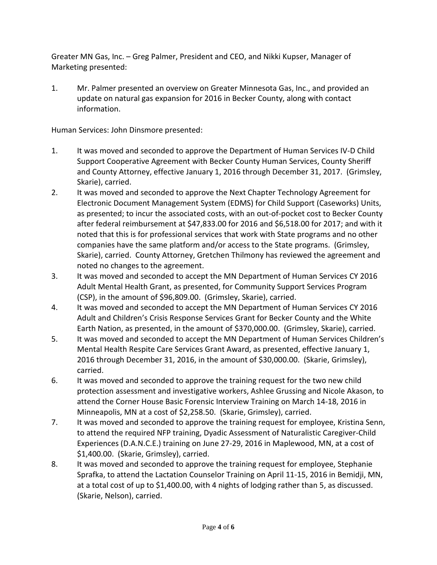Greater MN Gas, Inc. – Greg Palmer, President and CEO, and Nikki Kupser, Manager of Marketing presented:

1. Mr. Palmer presented an overview on Greater Minnesota Gas, Inc., and provided an update on natural gas expansion for 2016 in Becker County, along with contact information.

Human Services: John Dinsmore presented:

- 1. It was moved and seconded to approve the Department of Human Services IV-D Child Support Cooperative Agreement with Becker County Human Services, County Sheriff and County Attorney, effective January 1, 2016 through December 31, 2017. (Grimsley, Skarie), carried.
- 2. It was moved and seconded to approve the Next Chapter Technology Agreement for Electronic Document Management System (EDMS) for Child Support (Caseworks) Units, as presented; to incur the associated costs, with an out-of-pocket cost to Becker County after federal reimbursement at \$47,833.00 for 2016 and \$6,518.00 for 2017; and with it noted that this is for professional services that work with State programs and no other companies have the same platform and/or access to the State programs. (Grimsley, Skarie), carried. County Attorney, Gretchen Thilmony has reviewed the agreement and noted no changes to the agreement.
- 3. It was moved and seconded to accept the MN Department of Human Services CY 2016 Adult Mental Health Grant, as presented, for Community Support Services Program (CSP), in the amount of \$96,809.00. (Grimsley, Skarie), carried.
- 4. It was moved and seconded to accept the MN Department of Human Services CY 2016 Adult and Children's Crisis Response Services Grant for Becker County and the White Earth Nation, as presented, in the amount of \$370,000.00. (Grimsley, Skarie), carried.
- 5. It was moved and seconded to accept the MN Department of Human Services Children's Mental Health Respite Care Services Grant Award, as presented, effective January 1, 2016 through December 31, 2016, in the amount of \$30,000.00. (Skarie, Grimsley), carried.
- 6. It was moved and seconded to approve the training request for the two new child protection assessment and investigative workers, Ashlee Grussing and Nicole Akason, to attend the Corner House Basic Forensic Interview Training on March 14-18, 2016 in Minneapolis, MN at a cost of \$2,258.50. (Skarie, Grimsley), carried.
- 7. It was moved and seconded to approve the training request for employee, Kristina Senn, to attend the required NFP training, Dyadic Assessment of Naturalistic Caregiver-Child Experiences (D.A.N.C.E.) training on June 27-29, 2016 in Maplewood, MN, at a cost of \$1,400.00. (Skarie, Grimsley), carried.
- 8. It was moved and seconded to approve the training request for employee, Stephanie Sprafka, to attend the Lactation Counselor Training on April 11-15, 2016 in Bemidji, MN, at a total cost of up to \$1,400.00, with 4 nights of lodging rather than 5, as discussed. (Skarie, Nelson), carried.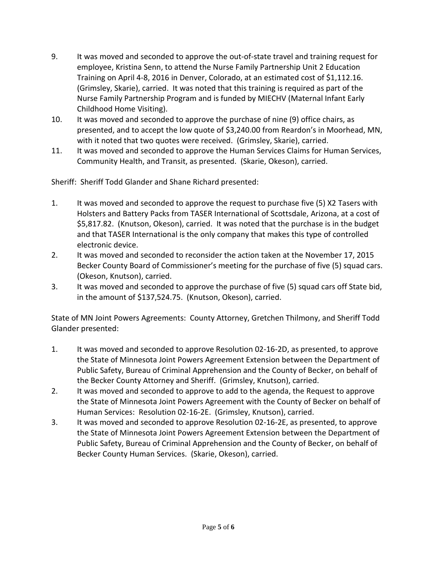- 9. It was moved and seconded to approve the out-of-state travel and training request for employee, Kristina Senn, to attend the Nurse Family Partnership Unit 2 Education Training on April 4-8, 2016 in Denver, Colorado, at an estimated cost of \$1,112.16. (Grimsley, Skarie), carried. It was noted that this training is required as part of the Nurse Family Partnership Program and is funded by MIECHV (Maternal Infant Early Childhood Home Visiting).
- 10. It was moved and seconded to approve the purchase of nine (9) office chairs, as presented, and to accept the low quote of \$3,240.00 from Reardon's in Moorhead, MN, with it noted that two quotes were received. (Grimsley, Skarie), carried.
- 11. It was moved and seconded to approve the Human Services Claims for Human Services, Community Health, and Transit, as presented. (Skarie, Okeson), carried.

Sheriff: Sheriff Todd Glander and Shane Richard presented:

- 1. It was moved and seconded to approve the request to purchase five (5) X2 Tasers with Holsters and Battery Packs from TASER International of Scottsdale, Arizona, at a cost of \$5,817.82. (Knutson, Okeson), carried. It was noted that the purchase is in the budget and that TASER International is the only company that makes this type of controlled electronic device.
- 2. It was moved and seconded to reconsider the action taken at the November 17, 2015 Becker County Board of Commissioner's meeting for the purchase of five (5) squad cars. (Okeson, Knutson), carried.
- 3. It was moved and seconded to approve the purchase of five (5) squad cars off State bid, in the amount of \$137,524.75. (Knutson, Okeson), carried.

State of MN Joint Powers Agreements: County Attorney, Gretchen Thilmony, and Sheriff Todd Glander presented:

- 1. It was moved and seconded to approve Resolution 02-16-2D, as presented, to approve the State of Minnesota Joint Powers Agreement Extension between the Department of Public Safety, Bureau of Criminal Apprehension and the County of Becker, on behalf of the Becker County Attorney and Sheriff. (Grimsley, Knutson), carried.
- 2. It was moved and seconded to approve to add to the agenda, the Request to approve the State of Minnesota Joint Powers Agreement with the County of Becker on behalf of Human Services: Resolution 02-16-2E. (Grimsley, Knutson), carried.
- 3. It was moved and seconded to approve Resolution 02-16-2E, as presented, to approve the State of Minnesota Joint Powers Agreement Extension between the Department of Public Safety, Bureau of Criminal Apprehension and the County of Becker, on behalf of Becker County Human Services. (Skarie, Okeson), carried.